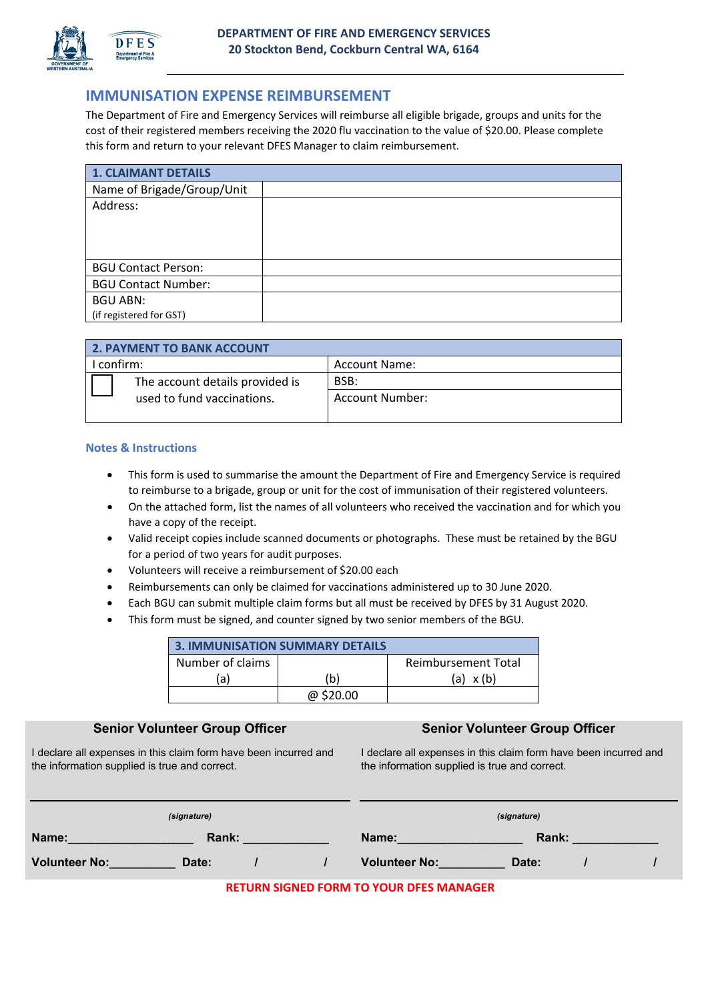

# **IMMUNISATION EXPENSE REIMBURSEMENT**

The Department of Fire and Emergency Services will reimburse all eligible brigade, groups and units for the cost of their registered members receiving the 2020 flu vaccination to the value of \$20.00. Please complete this form and return to your relevant DFES Manager to claim reimbursement.

| 1. CLAIMANT DETAILS        |  |  |
|----------------------------|--|--|
| Name of Brigade/Group/Unit |  |  |
| Address:                   |  |  |
|                            |  |  |
|                            |  |  |
|                            |  |  |
| <b>BGU Contact Person:</b> |  |  |
| <b>BGU Contact Number:</b> |  |  |
| <b>BGU ABN:</b>            |  |  |
| (if registered for GST)    |  |  |

| <b>2. PAYMENT TO BANK ACCOUNT</b> |                                 |                      |
|-----------------------------------|---------------------------------|----------------------|
| confirm:                          |                                 | <b>Account Name:</b> |
|                                   | The account details provided is | BSB:                 |
|                                   | used to fund vaccinations.      | Account Number:      |
|                                   |                                 |                      |

### **Notes & Instructions**

- This form is used to summarise the amount the Department of Fire and Emergency Service is required to reimburse to a brigade, group or unit for the cost of immunisation of their registered volunteers.
- On the attached form, list the names of all volunteers who received the vaccination and for which you have a copy of the receipt.
- Valid receipt copies include scanned documents or photographs. These must be retained by the BGU for a period of two years for audit purposes.
- Volunteers will receive a reimbursement of \$20.00 each
- Reimbursements can only be claimed for vaccinations administered up to 30 June 2020.
- Each BGU can submit multiple claim forms but all must be received by DFES by 31 August 2020.
- This form must be signed, and counter signed by two senior members of the BGU.

| <b>3. IMMUNISATION SUMMARY DETAILS</b> |           |                            |  |
|----------------------------------------|-----------|----------------------------|--|
| Number of claims                       |           | <b>Reimbursement Total</b> |  |
| (a                                     | (b)       | $(a) \times (b)$           |  |
|                                        | @ \$20.00 |                            |  |

### **Senior Volunteer Group Officer Senior Volunteer Group Officer Senior Volunteer Group Officer**

I declare all expenses in this claim form have been incurred and the information supplied is true and correct.

I declare all expenses in this claim form have been incurred and the information supplied is true and correct.

| (signature)          |       |  | (signature) |                      |       |  |  |
|----------------------|-------|--|-------------|----------------------|-------|--|--|
| Name:                | Rank: |  |             | Name:                | Rank: |  |  |
| <b>Volunteer No:</b> | Date: |  |             | <b>Volunteer No:</b> | Date: |  |  |

**RETURN SIGNED FORM TO YOUR DFES MANAGER**